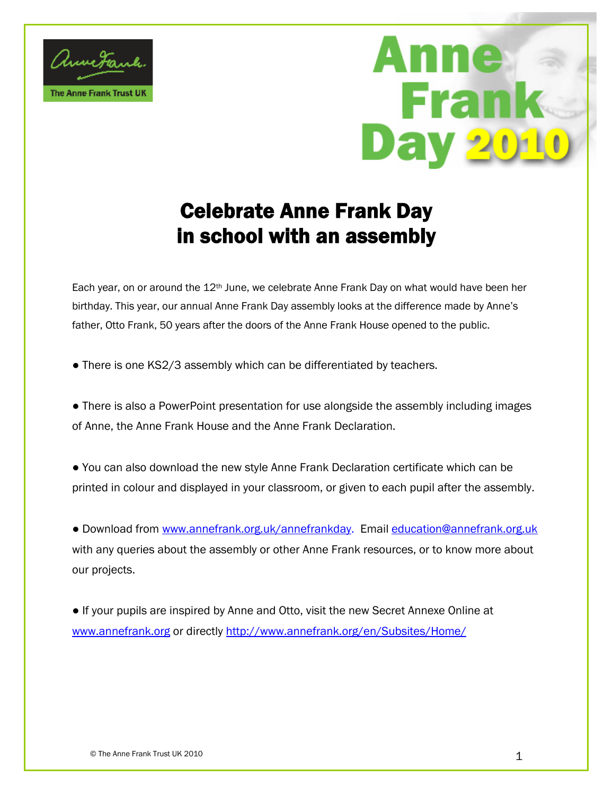# Celebrate Anne Frank Day in school with an assembly

Each year, on or atholum the 12 the 12 th June, Anne Frank Day on what would birthday. This year, our annual Anne Frank Day assembly looks a<mark>t</mark> th fatter, Otto Frank, 50 years after the doors of the Anne Frank House

% There is one KS2/3 assembly which can be differentiated by

%Ï There is also a PowerPfooirntuspereesleomotopestiion en the assime nanopletys including of Anne, the Anne Frank House and the Anne Frank Declaration

%Ï You can also doewnl**stayd**ethAenme Frank Declaration certifica<mark>t</mark>e w printed in colour and displayed in your classroom, or given to

%Ï Downloa www.mo.mannefrank.org.uka/yahom optioland ion@annefrank.org. with any queries about the assembly or other Anne Frank re<mark>so</mark>u our projects.

% $\ddot{\phantom{a}}$  If your pupils are inspired by An**Secared Annexe Sonline at**  $w$ [www.annefr](www.annefrank.org)aonk.doirghettpy//www.annefrank.org/en/Subsites/Home/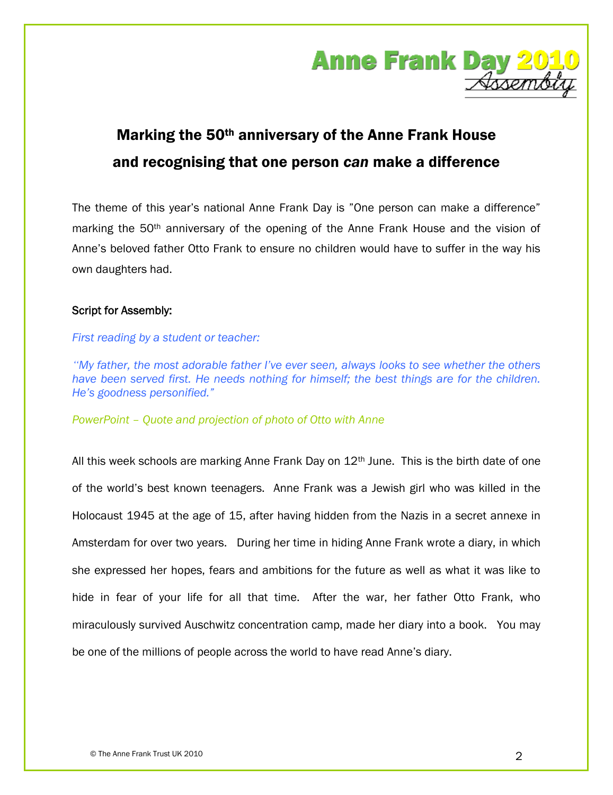

## Marking the 50th anniversary of the Anne Frank House and recognising that one person *can* make a difference

The theme of this year's national Anne Frank Day is "One person can make a difference" marking the 50th anniversary of the opening of the Anne Frank House and the vision of Anne's beloved father Otto Frank to ensure no children would have to suffer in the way his own daughters had.

### **Script for Assembly:**

#### *First reading by a student or teacher:*

*"My father, the most adorable father I've ever seen, always looks to see whether the others have been served first. He needs nothing for himself; the best things are for the children. He's goodness personified."*

*PowerPoint – Quote and projection of photo of Otto with Anne*

All this week schools are marking Anne Frank Day on  $12<sup>th</sup>$  June. This is the birth date of one of the world's best known teenagers. Anne Frank was a Jewish girl who was killed in the Holocaust 1945 at the age of 15, after having hidden from the Nazis in a secret annexe in Amsterdam for over two years. During her time in hiding Anne Frank wrote a diary, in which she expressed her hopes, fears and ambitions for the future as well as what it was like to hide in fear of your life for all that time. After the war, her father Otto Frank, who miraculously survived Auschwitz concentration camp, made her diary into a book. You may be one of the millions of people across the world to have read Anne's diary.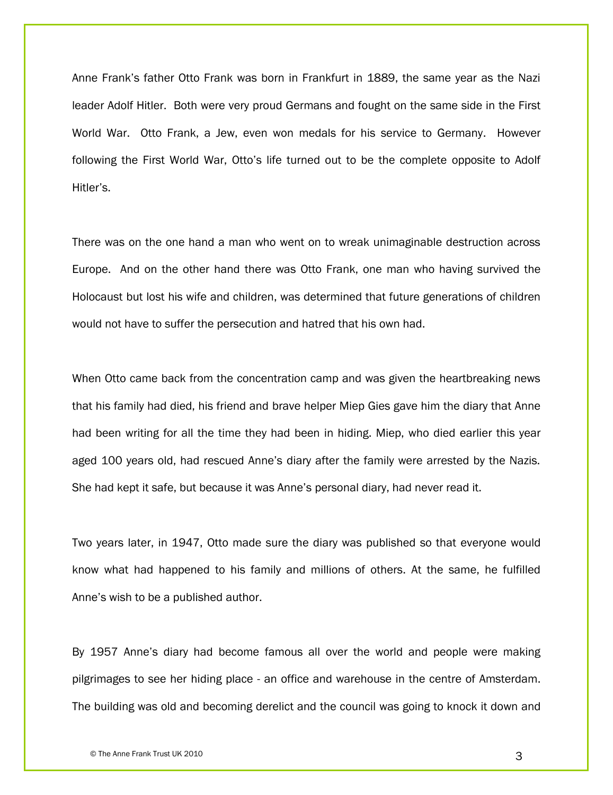Anne Frank's father Otto Frank was born in Frankfurt in 1889, the same year as the Nazi leader Adolf Hitler. Both were very proud Germans and fought on the same side in the First World War. Otto Frank, a Jew, even won medals for his service to Germany. However following the First World War, Otto's life turned out to be the complete opposite to Adolf Hitler's.

There was on the one hand a man who went on to wreak unimaginable destruction across Europe. And on the other hand there was Otto Frank, one man who having survived the Holocaust but lost his wife and children, was determined that future generations of children would not have to suffer the persecution and hatred that his own had.

When Otto came back from the concentration camp and was given the heartbreaking news that his family had died, his friend and brave helper Miep Gies gave him the diary that Anne had been writing for all the time they had been in hiding. Miep, who died earlier this year aged 100 years old, had rescued Anne's diary after the family were arrested by the Nazis. She had kept it safe, but because it was Anne's personal diary, had never read it.

Two years later, in 1947, Otto made sure the diary was published so that everyone would know what had happened to his family and millions of others. At the same, he fulfilled Anne's wish to be a published author.

By 1957 Anne's diary had become famous all over the world and people were making pilgrimages to see her hiding place - an office and warehouse in the centre of Amsterdam. The building was old and becoming derelict and the council was going to knock it down and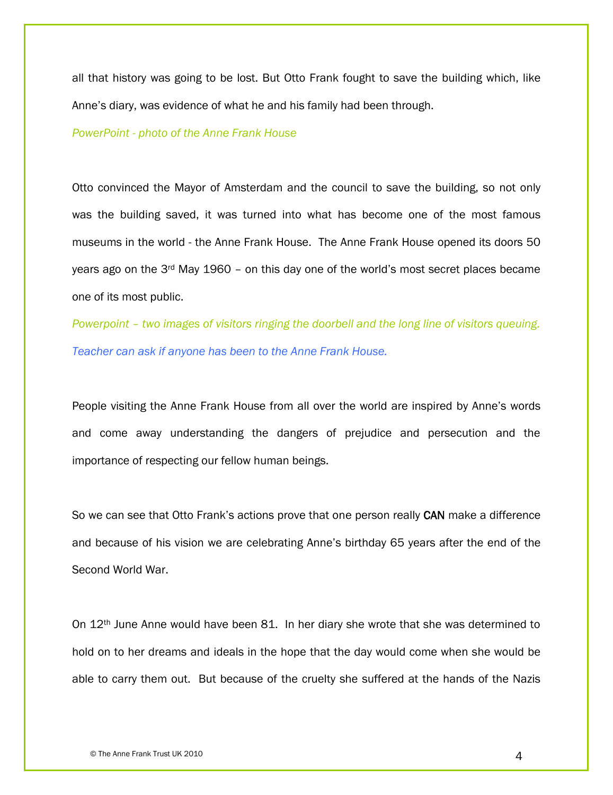all that history was going to be lost. But Otto Frank fought to save the building which, like Anne's diary, was evidence of what he and his family had been through.

#### *PowerPoint - photo of the Anne Frank House*

Otto convinced the Mayor of Amsterdam and the council to save the building, so not only was the building saved, it was turned into what has become one of the most famous museums in the world - the Anne Frank House. The Anne Frank House opened its doors 50 years ago on the 3rd May 1960 – on this day one of the world's most secret places became one of its most public.

*Powerpoint – two images of visitors ringing the doorbell and the long line of visitors queuing. Teacher can ask if anyone has been to the Anne Frank House.*

People visiting the Anne Frank House from all over the world are inspired by Anne's words and come away understanding the dangers of prejudice and persecution and the importance of respecting our fellow human beings.

So we can see that Otto Frank's actions prove that one person really **CAN** make a difference and because of his vision we are celebrating Anne's birthday 65 years after the end of the Second World War.

On 12th June Anne would have been 81. In her diary she wrote that she was determined to hold on to her dreams and ideals in the hope that the day would come when she would be able to carry them out. But because of the cruelty she suffered at the hands of the Nazis